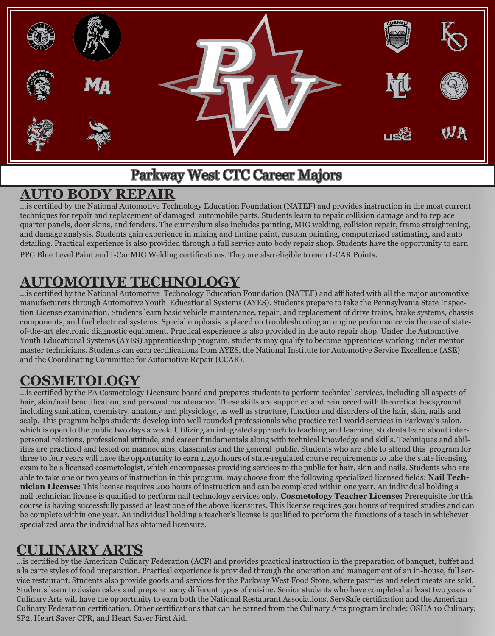

# Parkway West CTC Career Majors

#### **AUTO BODY REPAIR**

...is certified by the National Automotive Technology Education Foundation (NATEF) and provides instruction in the most current techniques for repair and replacement of damaged automobile parts. Students learn to repair collision damage and to replace quarter panels, door skins, and fenders. The curriculum also includes painting, MIG welding, collision repair, frame straightening, and damage analysis. Students gain experience in mixing and tinting paint, custom painting, computerized estimating, and auto detailing. Practical experience is also provided through a full service auto body repair shop. Students have the opportunity to earn PPG Blue Level Paint and I-Car MIG Welding certifications. They are also eligible to earn I-CAR Points.

# **AUTOMOTIVE TECHNOLOGY**

...is certified by the National Automotive Technology Education Foundation (NATEF) and affiliated with all the major automotive manufacturers through Automotive Youth Educational Systems (AYES). Students prepare to take the Pennsylvania State Inspection License examination. Students learn basic vehicle maintenance, repair, and replacement of drive trains, brake systems, chassis components, and fuel electrical systems. Special emphasis is placed on troubleshooting an engine performance via the use of stateof-the-art electronic diagnostic equipment. Practical experience is also provided in the auto repair shop. Under the Automotive Youth Educational Systems (AYES) apprenticeship program, students may qualify to become apprentices working under mentor master technicians. Students can earn certifications from AYES, the National Institute for Automotive Service Excellence (ASE) and the Coordinating Committee for Automotive Repair (CCAR).

# **COSMETOLOGY**

…is certified by the PA Cosmetology Licensure board and prepares students to perform technical services, including all aspects of hair, skin/nail beautification, and personal maintenance. These skills are supported and reinforced with theoretical background including sanitation, chemistry, anatomy and physiology, as well as structure, function and disorders of the hair, skin, nails and scalp. This program helps students develop into well rounded professionals who practice real-world services in Parkway's salon, which is open to the public two days a week. Utilizing an integrated approach to teaching and learning, students learn about interpersonal relations, professional attitude, and career fundamentals along with technical knowledge and skills. Techniques and abilities are practiced and tested on mannequins, classmates and the general public. Students who are able to attend this program for three to four years will have the opportunity to earn 1,250 hours of state-regulated course requirements to take the state licensing exam to be a licensed cosmetologist, which encompasses providing services to the public for hair, skin and nails. Students who are able to take one or two years of instruction in this program, may choose from the following specialized licensed fields: **Nail Technician License:** This license requires 200 hours of instruction and can be completed within one year. An individual holding a nail technician license is qualified to perform nail technology services only. **Cosmetology Teacher License:** Prerequisite for this course is having successfully passed at least one of the above licensures. This license requires 500 hours of required studies and can be complete within one year. An individual holding a teacher's license is qualified to perform the functions of a teach in whichever specialized area the individual has obtained licensure.

# **CULINARY ARTS**

...is certified by the American Culinary Federation (ACF) and provides practical instruction in the preparation of banquet, buffet and a la carte styles of food preparation. Practical experience is provided through the operation and management of an in-house, full service restaurant. Students also provide goods and services for the Parkway West Food Store, where pastries and select meats are sold. Students learn to design cakes and prepare many different types of cuisine. Senior students who have completed at least two years of Culinary Arts will have the opportunity to earn both the National Restaurant Associations, ServSafe certification and the American Culinary Federation certification. Other certifications that can be earned from the Culinary Arts program include: OSHA 10 Culinary, SP2, Heart Saver CPR, and Heart Saver First Aid.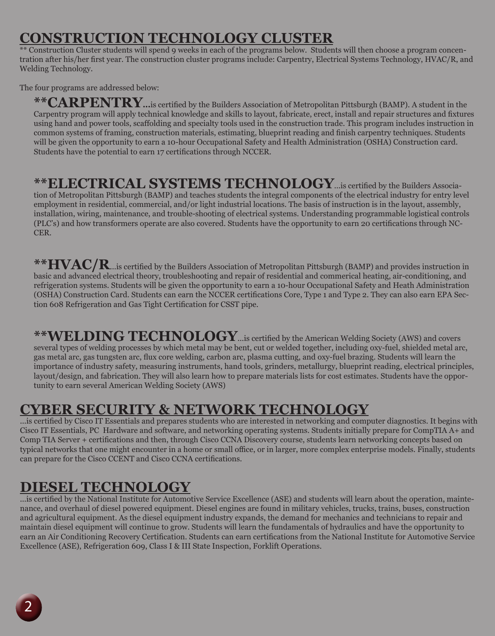## **CONSTRUCTION TECHNOLOGY CLUSTER**

 $\overline{a}^*$  Construction Cluster students will spend 9 weeks in each of the programs below. Students will then choose a program concentration after his/her first year. The construction cluster programs include: Carpentry, Electrical Systems Technology, HVAC/R, and Welding Technology.

The four programs are addressed below:

**\*\*CARPENTRY...**is certified by the Builders Association of Metropolitan Pittsburgh (BAMP). A student in the Carpentry program will apply technical knowledge and skills to layout, fabricate, erect, install and repair structures and fixtures using hand and power tools, scaffolding and specialty tools used in the construction trade. This program includes instruction in common systems of framing, construction materials, estimating, blueprint reading and finish carpentry techniques. Students will be given the opportunity to earn a 10-hour Occupational Safety and Health Administration (OSHA) Construction card. Students have the potential to earn 17 certifications through NCCER.

#### **\*\*ELECTRICAL SYSTEMS TECHNOLOGY**...is certified by the Builders Associa-

tion of Metropolitan Pittsburgh (BAMP) and teaches students the integral components of the electrical industry for entry level employment in residential, commercial, and/or light industrial locations. The basis of instruction is in the layout, assembly, installation, wiring, maintenance, and trouble-shooting of electrical systems. Understanding programmable logistical controls (PLC's) and how transformers operate are also covered. Students have the opportunity to earn 20 certifications through NC-CER.

**\*\*HVAC/R**...is certified by the Builders Association of Metropolitan Pittsburgh (BAMP) and provides instruction in basic and advanced electrical theory, troubleshooting and repair of residential and commerical heating, air-conditioning, and refrigeration systems. Students will be given the opportunity to earn a 10-hour Occupational Safety and Heath Administration (OSHA) Construction Card. Students can earn the NCCER certifications Core, Type 1 and Type 2. They can also earn EPA Section 608 Refrigeration and Gas Tight Certification for CSST pipe.

**\*\*WELDING TECHNOLOGY**...is certified by the American Welding Society (AWS) and covers several types of welding processes by which metal may be bent, cut or welded together, including oxy-fuel, shielded metal arc, gas metal arc, gas tungsten arc, flux core welding, carbon arc, plasma cutting, and oxy-fuel brazing. Students will learn the importance of industry safety, measuring instruments, hand tools, grinders, metallurgy, blueprint reading, electrical principles, layout/design, and fabrication. They will also learn how to prepare materials lists for cost estimates. Students have the opportunity to earn several American Welding Society (AWS)

#### **CYBER SECURITY & NETWORK TECHNOLOGY**

...is certified by Cisco IT Essentials and prepares students who are interested in networking and computer diagnostics. It begins with Cisco IT Essentials, PC Hardware and software, and networking operating systems. Students initially prepare for CompTIA A+ and Comp TIA Server + certifications and then, through Cisco CCNA Discovery course, students learn networking concepts based on typical networks that one might encounter in a home or small office, or in larger, more complex enterprise models. Finally, students can prepare for the Cisco CCENT and Cisco CCNA certifications.

## **DIESEL TECHNOLOGY**

...is certified by the National Institute for Automotive Service Excellence (ASE) and students will learn about the operation, maintenance, and overhaul of diesel powered equipment. Diesel engines are found in military vehicles, trucks, trains, buses, construction and agricultural equipment. As the diesel equipment industry expands, the demand for mechanics and technicians to repair and maintain diesel equipment will continue to grow. Students will learn the fundamentals of hydraulics and have the opportunity to earn an Air Conditioning Recovery Certification. Students can earn certifications from the National Institute for Automotive Service Excellence (ASE), Refrigeration 609, Class I & III State Inspection, Forklift Operations.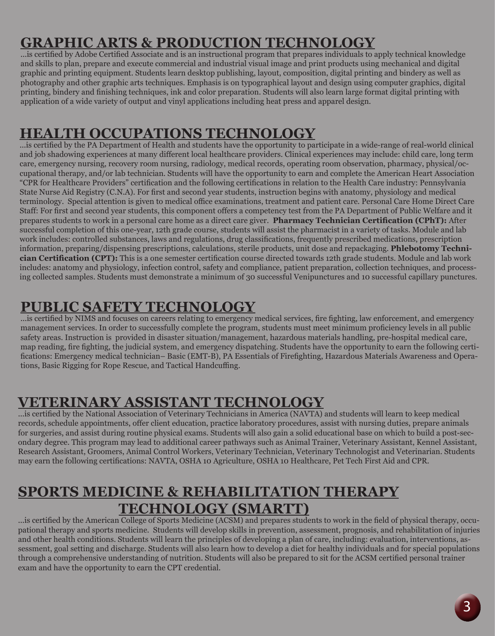# **GRAPHIC ARTS & PRODUCTION TECHNOLOGY**

...is certified by Adobe Certified Associate and is an instructional program that prepares individuals to apply technical knowledge and skills to plan, prepare and execute commercial and industrial visual image and print products using mechanical and digital graphic and printing equipment. Students learn desktop publishing, layout, composition, digital printing and bindery as well as photography and other graphic arts techniques. Emphasis is on typographical layout and design using computer graphics, digital printing, bindery and finishing techniques, ink and color preparation. Students will also learn large format digital printing with application of a wide variety of output and vinyl applications including heat press and apparel design.

## **HEALTH OCCUPATIONS TECHNOLOGY**

...is certified by the PA Department of Health and students have the opportunity to participate in a wide-range of real-world clinical and job shadowing experiences at many different local healthcare providers. Clinical experiences may include: child care, long term care, emergency nursing, recovery room nursing, radiology, medical records, operating room observation, pharmacy, physical/occupational therapy, and/or lab technician. Students will have the opportunity to earn and complete the American Heart Association "CPR for Healthcare Providers" certification and the following certifications in relation to the Health Care industry: Pennsylvania State Nurse Aid Registry (C.N.A). For first and second year students, instruction begins with anatomy, physiology and medical terminology. Special attention is given to medical office examinations, treatment and patient care. Personal Care Home Direct Care Staff: For first and second year students, this component offers a competency test from the PA Department of Public Welfare and it prepares students to work in a personal care home as a direct care giver. **Pharmacy Technician Certification (CPhT):** After successful completion of this one-year, 12th grade course, students will assist the pharmacist in a variety of tasks. Module and lab work includes: controlled substances, laws and regulations, drug classifications, frequently prescribed medications, prescription information, preparing/dispensing prescriptions, calculations, sterile products, unit dose and repackaging. **Phlebotomy Technician Certification (CPT):** This is a one semester certification course directed towards 12th grade students. Module and lab work includes: anatomy and physiology, infection control, safety and compliance, patient preparation, collection techniques, and processing collected samples. Students must demonstrate a minimum of 30 successful Venipunctures and 10 successful capillary punctures.

## **PUBLIC SAFETY TECHNOLOGY**

...is certified by NIMS and focuses on careers relating to emergency medical services, fire fighting, law enforcement, and emergency management services. In order to successfully complete the program, students must meet minimum proficiency levels in all public safety areas. Instruction is provided in disaster situation/management, hazardous materials handling, pre-hospital medical care, map reading, fire fighting, the judicial system, and emergency dispatching. Students have the opportunity to earn the following certifications: Emergency medical technician– Basic (EMT-B), PA Essentials of Firefighting, Hazardous Materials Awareness and Operations, Basic Rigging for Rope Rescue, and Tactical Handcuffing.

## **VETERINARY ASSISTANT TECHNOLOGY**

...is certified by the National Association of Veterinary Technicians in America (NAVTA) and students will learn to keep medical records, schedule appointments, offer client education, practice laboratory procedures, assist with nursing duties, prepare animals for surgeries, and assist during routine physical exams. Students will also gain a solid educational base on which to build a post-secondary degree. This program may lead to additional career pathways such as Animal Trainer, Veterinary Assistant, Kennel Assistant, Research Assistant, Groomers, Animal Control Workers, Veterinary Technician, Veterinary Technologist and Veterinarian. Students may earn the following certifications: NAVTA, OSHA 10 Agriculture, OSHA 10 Healthcare, Pet Tech First Aid and CPR.

#### **SPORTS MEDICINE & REHABILITATION THERAPY TECHNOLOGY (SMARTT)**

...is certified by the American College of Sports Medicine (ACSM) and prepares students to work in the field of physical therapy, occupational therapy and sports medicine. Students will develop skills in prevention, assessment, prognosis, and rehabilitation of injuries and other health conditions. Students will learn the principles of developing a plan of care, including: evaluation, interventions, assessment, goal setting and discharge. Students will also learn how to develop a diet for healthy individuals and for special populations through a comprehensive understanding of nutrition. Students will also be prepared to sit for the ACSM certified personal trainer exam and have the opportunity to earn the CPT credential.